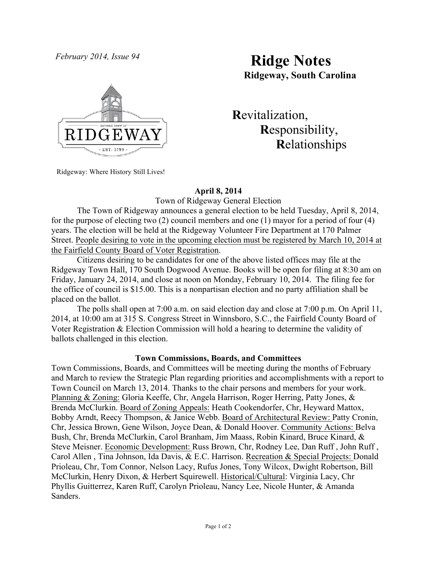

# *February 2014, Issue 94* **Ridge Notes Ridgeway, South Carolina**

 **R**evitalization,  **R**esponsibility,  **R**elationships

Ridgeway: Where History Still Lives!

# **April 8, 2014**

Town of Ridgeway General Election

The Town of Ridgeway announces a general election to be held Tuesday, April 8, 2014, for the purpose of electing two (2) council members and one (1) mayor for a period of four (4) years. The election will be held at the Ridgeway Volunteer Fire Department at 170 Palmer Street. People desiring to vote in the upcoming election must be registered by March 10, 2014 at the Fairfield County Board of Voter Registration.

Citizens desiring to be candidates for one of the above listed offices may file at the Ridgeway Town Hall, 170 South Dogwood Avenue. Books will be open for filing at 8:30 am on Friday, January 24, 2014, and close at noon on Monday, February 10, 2014. The filing fee for the office of council is \$15.00. This is a nonpartisan election and no party affiliation shall be placed on the ballot.

The polls shall open at 7:00 a.m. on said election day and close at 7:00 p.m. On April 11, 2014, at 10:00 am at 315 S. Congress Street in Winnsboro, S.C., the Fairfield County Board of Voter Registration & Election Commission will hold a hearing to determine the validity of ballots challenged in this election.

### **Town Commissions, Boards, and Committees**

Town Commissions, Boards, and Committees will be meeting during the months of February and March to review the Strategic Plan regarding priorities and accomplishments with a report to Town Council on March 13, 2014. Thanks to the chair persons and members for your work. Planning & Zoning: Gloria Keeffe, Chr, Angela Harrison, Roger Herring, Patty Jones, & Brenda McClurkin. Board of Zoning Appeals: Heath Cookendorfer, Chr, Heyward Mattox, Bobby Arndt, Reecy Thompson, & Janice Webb. Board of Architectural Review: Patty Cronin, Chr, Jessica Brown, Gene Wilson, Joyce Dean, & Donald Hoover. Community Actions: Belva Bush, Chr, Brenda McClurkin, Carol Branham, Jim Maass, Robin Kinard, Bruce Kinard, & Steve Meisner. Economic Development: Russ Brown, Chr, Rodney Lee, Dan Ruff , John Ruff , Carol Allen , Tina Johnson, Ida Davis, & E.C. Harrison. Recreation & Special Projects: Donald Prioleau, Chr, Tom Connor, Nelson Lacy, Rufus Jones, Tony Wilcox, Dwight Robertson, Bill McClurkin, Henry Dixon, & Herbert Squirewell. Historical/Cultural: Virginia Lacy, Chr Phyllis Guitterrez, Karen Ruff, Carolyn Prioleau, Nancy Lee, Nicole Hunter, & Amanda Sanders.